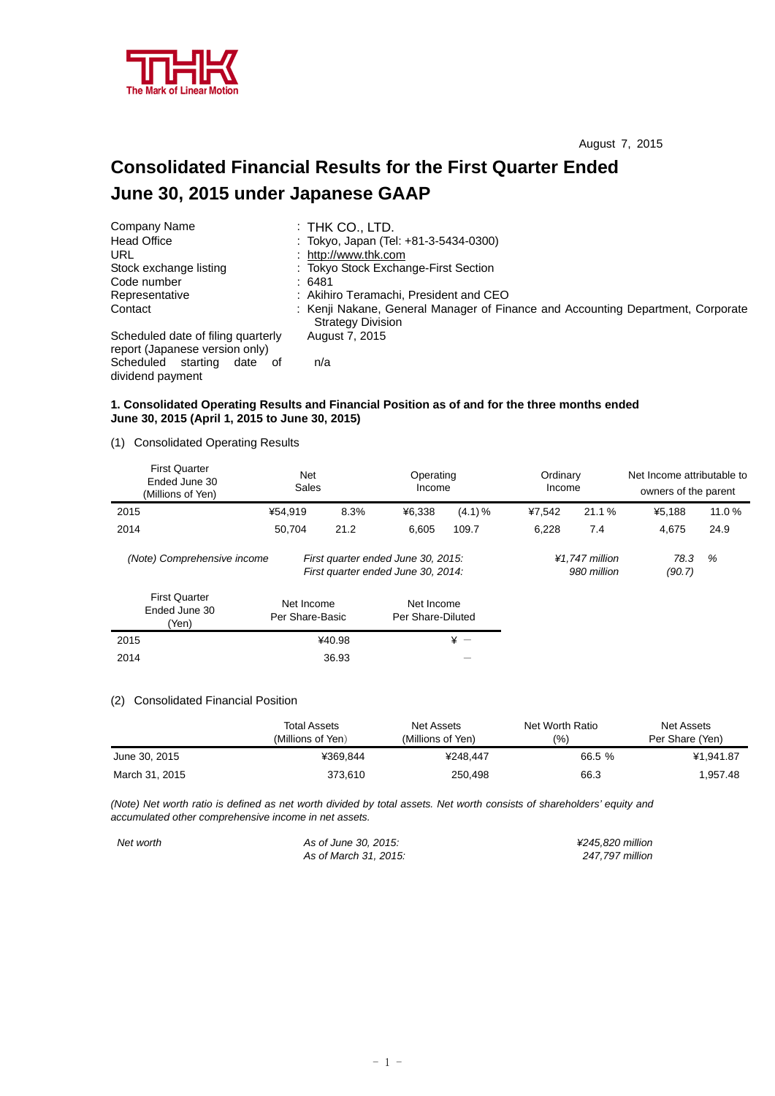

# **Consolidated Financial Results for the First Quarter Ended June 30, 2015 under Japanese GAAP**

| Company Name                                                         | $:$ THK CO., LTD.                                                                                           |
|----------------------------------------------------------------------|-------------------------------------------------------------------------------------------------------------|
| <b>Head Office</b>                                                   | : Tokyo, Japan (Tel: +81-3-5434-0300)                                                                       |
| URL                                                                  | : http://www.thk.com                                                                                        |
| Stock exchange listing                                               | : Tokyo Stock Exchange-First Section                                                                        |
| Code number                                                          | :6481                                                                                                       |
| Representative                                                       | : Akihiro Teramachi, President and CEO                                                                      |
| Contact                                                              | : Kenji Nakane, General Manager of Finance and Accounting Department, Corporate<br><b>Strategy Division</b> |
| Scheduled date of filing quarterly<br>report (Japanese version only) | August 7, 2015                                                                                              |
| Scheduled starting<br>date of<br>dividend payment                    | n/a                                                                                                         |

### **1. Consolidated Operating Results and Financial Position as of and for the three months ended June 30, 2015 (April 1, 2015 to June 30, 2015)**

(1) Consolidated Operating Results

| <b>First Quarter</b><br>Ended June 30<br>(Millions of Yen) | <b>Net</b><br>Sales           |        | Operating<br>Income                                                      |        | Ordinary<br>Income |                               | Net Income attributable to<br>owners of the parent |       |
|------------------------------------------------------------|-------------------------------|--------|--------------------------------------------------------------------------|--------|--------------------|-------------------------------|----------------------------------------------------|-------|
| 2015                                                       | ¥54.919                       | 8.3%   | ¥6.338                                                                   | (4.1)% | ¥7.542             | 21.1%                         | ¥5.188                                             | 11.0% |
| 2014                                                       | 50.704                        | 21.2   | 6.605                                                                    | 109.7  | 6,228              | 7.4                           | 4.675                                              | 24.9  |
| (Note) Comprehensive income                                |                               |        | First quarter ended June 30, 2015:<br>First quarter ended June 30, 2014: |        |                    | ¥1.747 million<br>980 million | 78.3<br>(90.7)                                     | %     |
| <b>First Quarter</b><br>Ended June 30<br>(Yen)             | Net Income<br>Per Share-Basic |        | Net Income<br>Per Share-Diluted                                          |        |                    |                               |                                                    |       |
| 2015                                                       |                               | ¥40.98 |                                                                          | $* -$  |                    |                               |                                                    |       |
| 2014                                                       |                               | 36.93  |                                                                          |        |                    |                               |                                                    |       |

#### (2) Consolidated Financial Position

|                | Total Assets<br>(Millions of Yen) | Net Assets<br>(Millions of Yen) | Net Worth Ratio<br>(9/0) | Net Assets<br>Per Share (Yen) |
|----------------|-----------------------------------|---------------------------------|--------------------------|-------------------------------|
| June 30, 2015  | ¥369.844                          | ¥248.447                        | 66.5 %                   | ¥1.941.87                     |
| March 31, 2015 | 373.610                           | 250.498                         | 66.3                     | 1.957.48                      |

*(Note) Net worth ratio is defined as net worth divided by total assets. Net worth consists of shareholders' equity and accumulated other comprehensive income in net assets.* 

*Net worth As of June 30, 2015: ¥245,820 million As of March 31, 2015:*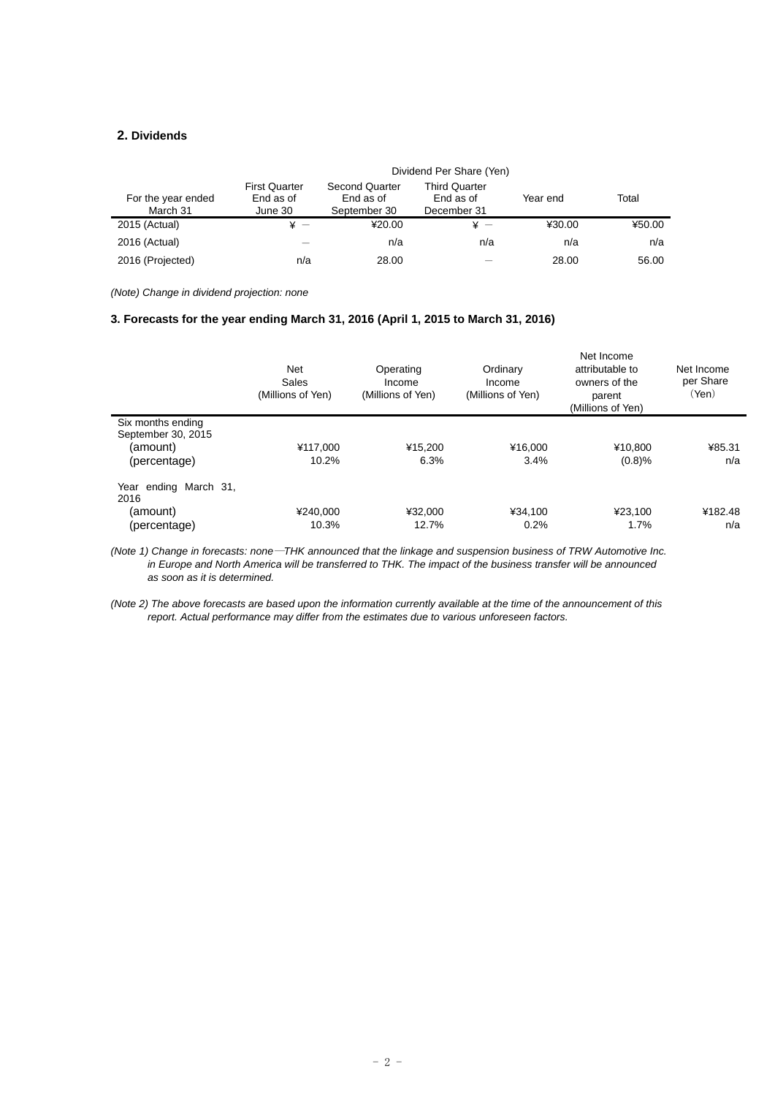# **2. Dividends**

|                                | Dividend Per Share (Yen)                     |                                                    |                                                  |          |        |  |  |
|--------------------------------|----------------------------------------------|----------------------------------------------------|--------------------------------------------------|----------|--------|--|--|
| For the year ended<br>March 31 | <b>First Quarter</b><br>End as of<br>June 30 | <b>Second Quarter</b><br>End as of<br>September 30 | <b>Third Quarter</b><br>End as of<br>December 31 | Year end | Total  |  |  |
| 2015 (Actual)                  | ¥ —                                          | ¥20.00                                             | ¥ —                                              | ¥30.00   | ¥50.00 |  |  |
| 2016 (Actual)                  |                                              | n/a                                                | n/a                                              | n/a      | n/a    |  |  |
| 2016 (Projected)               | n/a                                          | 28.00                                              |                                                  | 28.00    | 56.00  |  |  |

*(Note) Change in dividend projection: none* 

### **3. Forecasts for the year ending March 31, 2016 (April 1, 2015 to March 31, 2016)**

|                               | <b>Net</b><br>Sales<br>(Millions of Yen) | Operating<br>Income<br>(Millions of Yen) | Ordinary<br>Income<br>(Millions of Yen) | Net Income<br>attributable to<br>owners of the<br>parent<br>(Millions of Yen) | Net Income<br>per Share<br>(Yen) |
|-------------------------------|------------------------------------------|------------------------------------------|-----------------------------------------|-------------------------------------------------------------------------------|----------------------------------|
| Six months ending             |                                          |                                          |                                         |                                                                               |                                  |
| September 30, 2015            |                                          |                                          |                                         |                                                                               |                                  |
| (amount)                      | ¥117.000                                 | ¥15.200                                  | ¥16.000                                 | ¥10.800                                                                       | ¥85.31                           |
| (percentage)                  | 10.2%                                    | 6.3%                                     | 3.4%                                    | (0.8)%                                                                        | n/a                              |
| Year ending March 31,<br>2016 |                                          |                                          |                                         |                                                                               |                                  |
| (amount)                      | ¥240.000                                 | ¥32.000                                  | ¥34.100                                 | ¥23.100                                                                       | ¥182.48                          |
| (percentage)                  | 10.3%                                    | 12.7%                                    | 0.2%                                    | 1.7%                                                                          | n/a                              |

*(Note 1) Change in forecasts: none*―*THK announced that the linkage and suspension business of TRW Automotive Inc. in Europe and North America will be transferred to THK. The impact of the business transfer will be announced as soon as it is determined.* 

*(Note 2) The above forecasts are based upon the information currently available at the time of the announcement of this report. Actual performance may differ from the estimates due to various unforeseen factors.*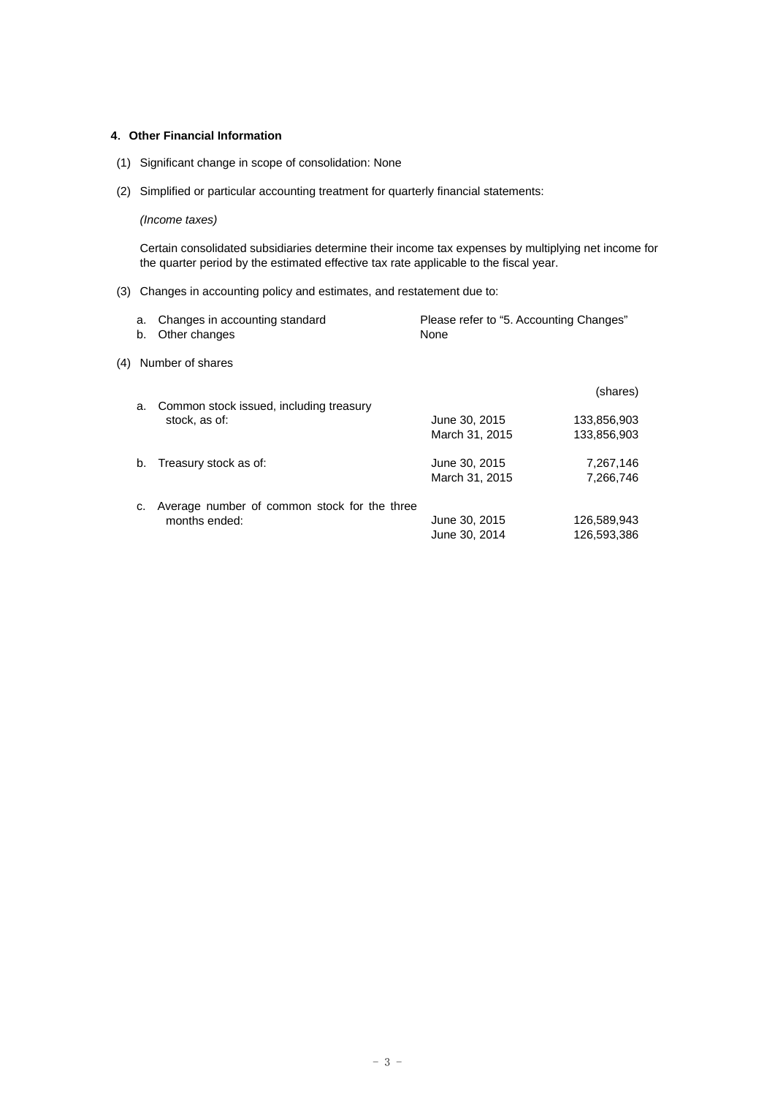## **4**.**Other Financial Information**

- (1) Significant change in scope of consolidation: None
- (2) Simplified or particular accounting treatment for quarterly financial statements:

# *(Income taxes)*

Certain consolidated subsidiaries determine their income tax expenses by multiplying net income for the quarter period by the estimated effective tax rate applicable to the fiscal year.

(3) Changes in accounting policy and estimates, and restatement due to:

| a.<br>b. | Changes in accounting standard<br>Other changes |                                                                                                                                      |                                                 |
|----------|-------------------------------------------------|--------------------------------------------------------------------------------------------------------------------------------------|-------------------------------------------------|
| (4)      |                                                 |                                                                                                                                      |                                                 |
| a.       |                                                 |                                                                                                                                      | (shares)                                        |
|          | stock, as of:                                   | June 30, 2015                                                                                                                        | 133,856,903                                     |
|          |                                                 | March 31, 2015                                                                                                                       | 133,856,903                                     |
| b.       |                                                 | June 30, 2015                                                                                                                        | 7,267,146                                       |
|          |                                                 | March 31, 2015                                                                                                                       | 7,266,746                                       |
| c.       |                                                 |                                                                                                                                      |                                                 |
|          | months ended:                                   | June 30, 2015                                                                                                                        | 126,589,943                                     |
|          |                                                 | June 30, 2014                                                                                                                        | 126.593.386                                     |
|          |                                                 | Number of shares<br>Common stock issued, including treasury<br>Treasury stock as of:<br>Average number of common stock for the three | Please refer to "5. Accounting Changes"<br>None |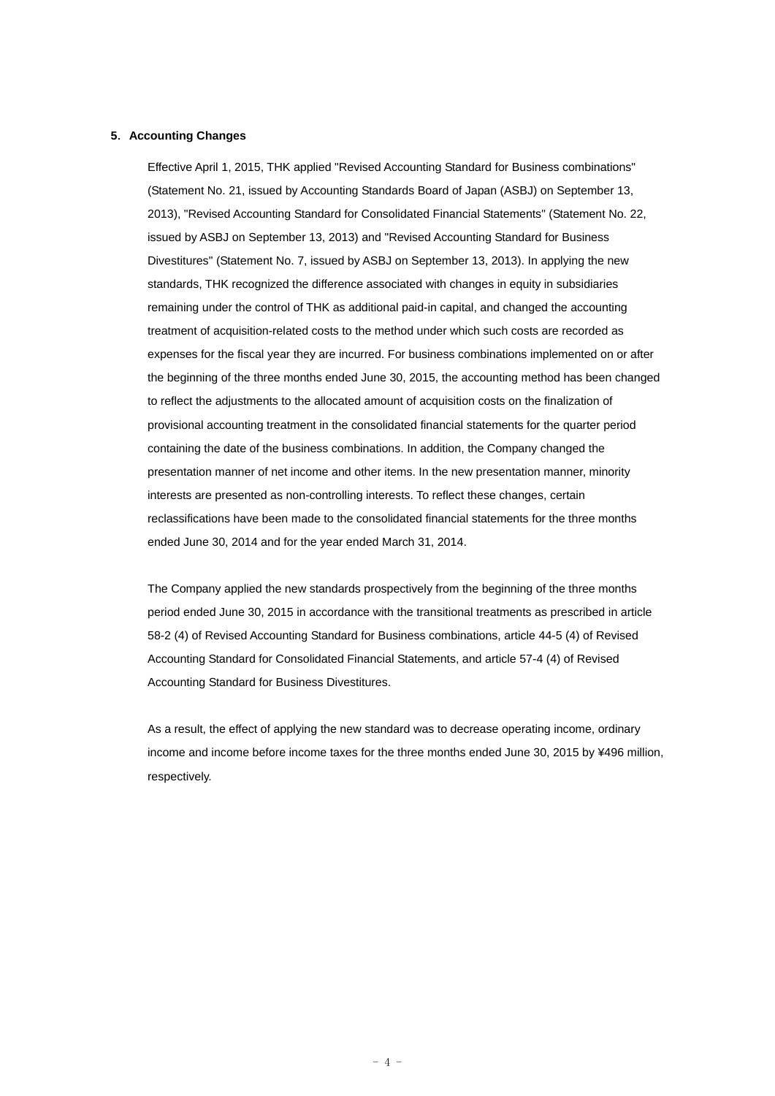#### **5**.**Accounting Changes**

Effective April 1, 2015, THK applied "Revised Accounting Standard for Business combinations" (Statement No. 21, issued by Accounting Standards Board of Japan (ASBJ) on September 13, 2013), "Revised Accounting Standard for Consolidated Financial Statements" (Statement No. 22, issued by ASBJ on September 13, 2013) and "Revised Accounting Standard for Business Divestitures" (Statement No. 7, issued by ASBJ on September 13, 2013). In applying the new standards, THK recognized the difference associated with changes in equity in subsidiaries remaining under the control of THK as additional paid-in capital, and changed the accounting treatment of acquisition-related costs to the method under which such costs are recorded as expenses for the fiscal year they are incurred. For business combinations implemented on or after the beginning of the three months ended June 30, 2015, the accounting method has been changed to reflect the adjustments to the allocated amount of acquisition costs on the finalization of provisional accounting treatment in the consolidated financial statements for the quarter period containing the date of the business combinations. In addition, the Company changed the presentation manner of net income and other items. In the new presentation manner, minority interests are presented as non-controlling interests. To reflect these changes, certain reclassifications have been made to the consolidated financial statements for the three months ended June 30, 2014 and for the year ended March 31, 2014.

The Company applied the new standards prospectively from the beginning of the three months period ended June 30, 2015 in accordance with the transitional treatments as prescribed in article 58-2 (4) of Revised Accounting Standard for Business combinations, article 44-5 (4) of Revised Accounting Standard for Consolidated Financial Statements, and article 57-4 (4) of Revised Accounting Standard for Business Divestitures.

As a result, the effect of applying the new standard was to decrease operating income, ordinary income and income before income taxes for the three months ended June 30, 2015 by ¥496 million, respectively.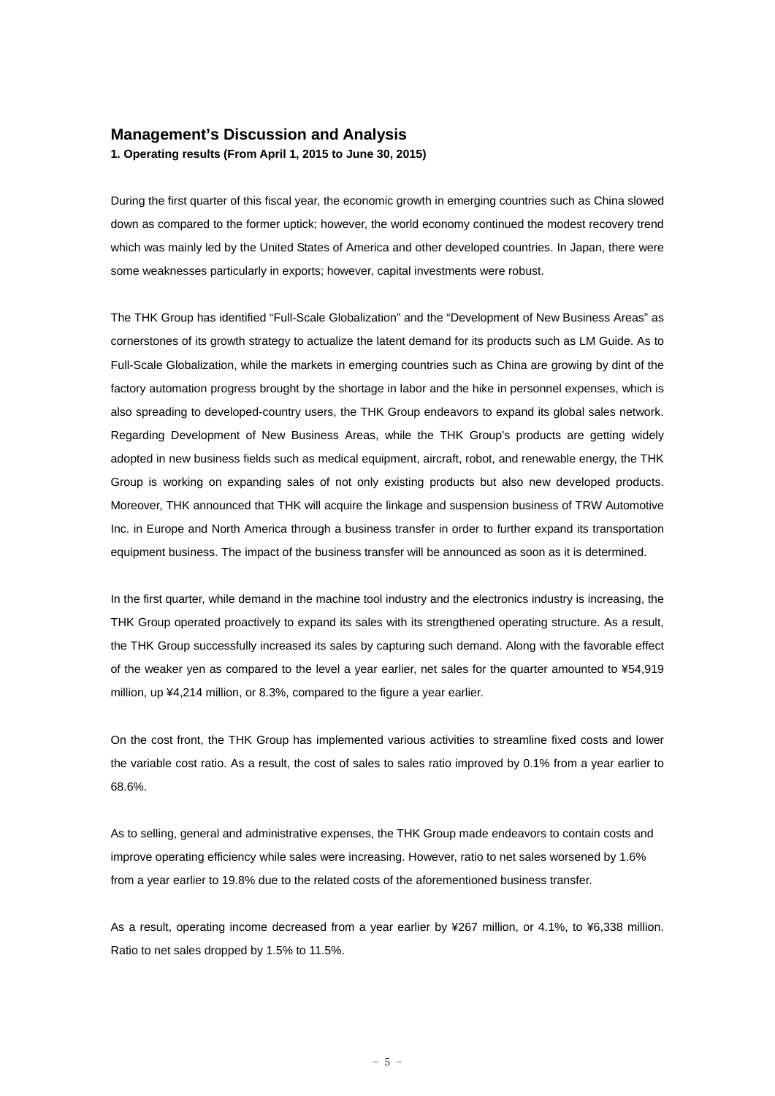# **Management's Discussion and Analysis**

**1. Operating results (From April 1, 2015 to June 30, 2015)** 

During the first quarter of this fiscal year, the economic growth in emerging countries such as China slowed down as compared to the former uptick; however, the world economy continued the modest recovery trend which was mainly led by the United States of America and other developed countries. In Japan, there were some weaknesses particularly in exports; however, capital investments were robust.

The THK Group has identified "Full-Scale Globalization" and the "Development of New Business Areas" as cornerstones of its growth strategy to actualize the latent demand for its products such as LM Guide. As to Full-Scale Globalization, while the markets in emerging countries such as China are growing by dint of the factory automation progress brought by the shortage in labor and the hike in personnel expenses, which is also spreading to developed-country users, the THK Group endeavors to expand its global sales network. Regarding Development of New Business Areas, while the THK Group's products are getting widely adopted in new business fields such as medical equipment, aircraft, robot, and renewable energy, the THK Group is working on expanding sales of not only existing products but also new developed products. Moreover, THK announced that THK will acquire the linkage and suspension business of TRW Automotive Inc. in Europe and North America through a business transfer in order to further expand its transportation equipment business. The impact of the business transfer will be announced as soon as it is determined.

In the first quarter, while demand in the machine tool industry and the electronics industry is increasing, the THK Group operated proactively to expand its sales with its strengthened operating structure. As a result, the THK Group successfully increased its sales by capturing such demand. Along with the favorable effect of the weaker yen as compared to the level a year earlier, net sales for the quarter amounted to ¥54,919 million, up ¥4,214 million, or 8.3%, compared to the figure a year earlier.

On the cost front, the THK Group has implemented various activities to streamline fixed costs and lower the variable cost ratio. As a result, the cost of sales to sales ratio improved by 0.1% from a year earlier to 68.6%.

As to selling, general and administrative expenses, the THK Group made endeavors to contain costs and improve operating efficiency while sales were increasing. However, ratio to net sales worsened by 1.6% from a year earlier to 19.8% due to the related costs of the aforementioned business transfer.

As a result, operating income decreased from a year earlier by ¥267 million, or 4.1%, to ¥6,338 million. Ratio to net sales dropped by 1.5% to 11.5%.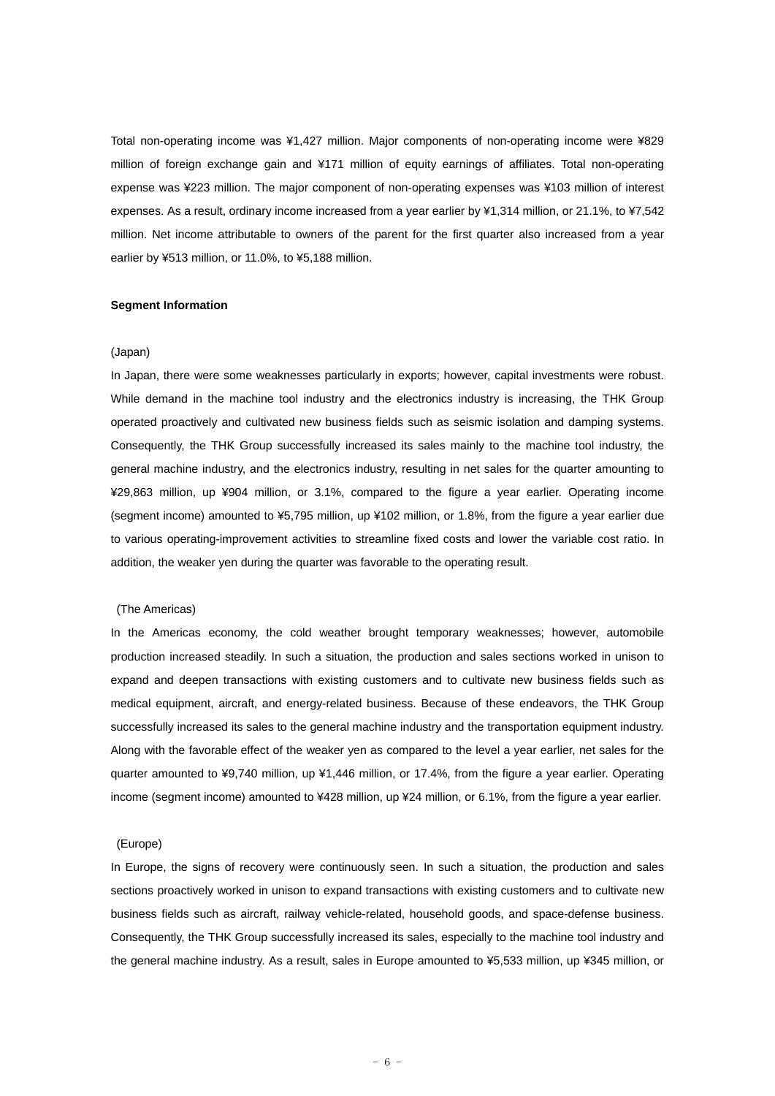Total non-operating income was ¥1,427 million. Major components of non-operating income were ¥829 million of foreign exchange gain and ¥171 million of equity earnings of affiliates. Total non-operating expense was ¥223 million. The major component of non-operating expenses was ¥103 million of interest expenses. As a result, ordinary income increased from a year earlier by ¥1,314 million, or 21.1%, to ¥7,542 million. Net income attributable to owners of the parent for the first quarter also increased from a year earlier by ¥513 million, or 11.0%, to ¥5,188 million.

#### **Segment Information**

#### (Japan)

In Japan, there were some weaknesses particularly in exports; however, capital investments were robust. While demand in the machine tool industry and the electronics industry is increasing, the THK Group operated proactively and cultivated new business fields such as seismic isolation and damping systems. Consequently, the THK Group successfully increased its sales mainly to the machine tool industry, the general machine industry, and the electronics industry, resulting in net sales for the quarter amounting to ¥29,863 million, up ¥904 million, or 3.1%, compared to the figure a year earlier. Operating income (segment income) amounted to ¥5,795 million, up ¥102 million, or 1.8%, from the figure a year earlier due to various operating-improvement activities to streamline fixed costs and lower the variable cost ratio. In addition, the weaker yen during the quarter was favorable to the operating result.

#### (The Americas)

In the Americas economy, the cold weather brought temporary weaknesses; however, automobile production increased steadily. In such a situation, the production and sales sections worked in unison to expand and deepen transactions with existing customers and to cultivate new business fields such as medical equipment, aircraft, and energy-related business. Because of these endeavors, the THK Group successfully increased its sales to the general machine industry and the transportation equipment industry. Along with the favorable effect of the weaker yen as compared to the level a year earlier, net sales for the quarter amounted to ¥9,740 million, up ¥1,446 million, or 17.4%, from the figure a year earlier. Operating income (segment income) amounted to ¥428 million, up ¥24 million, or 6.1%, from the figure a year earlier.

#### (Europe)

In Europe, the signs of recovery were continuously seen. In such a situation, the production and sales sections proactively worked in unison to expand transactions with existing customers and to cultivate new business fields such as aircraft, railway vehicle-related, household goods, and space-defense business. Consequently, the THK Group successfully increased its sales, especially to the machine tool industry and the general machine industry. As a result, sales in Europe amounted to ¥5,533 million, up ¥345 million, or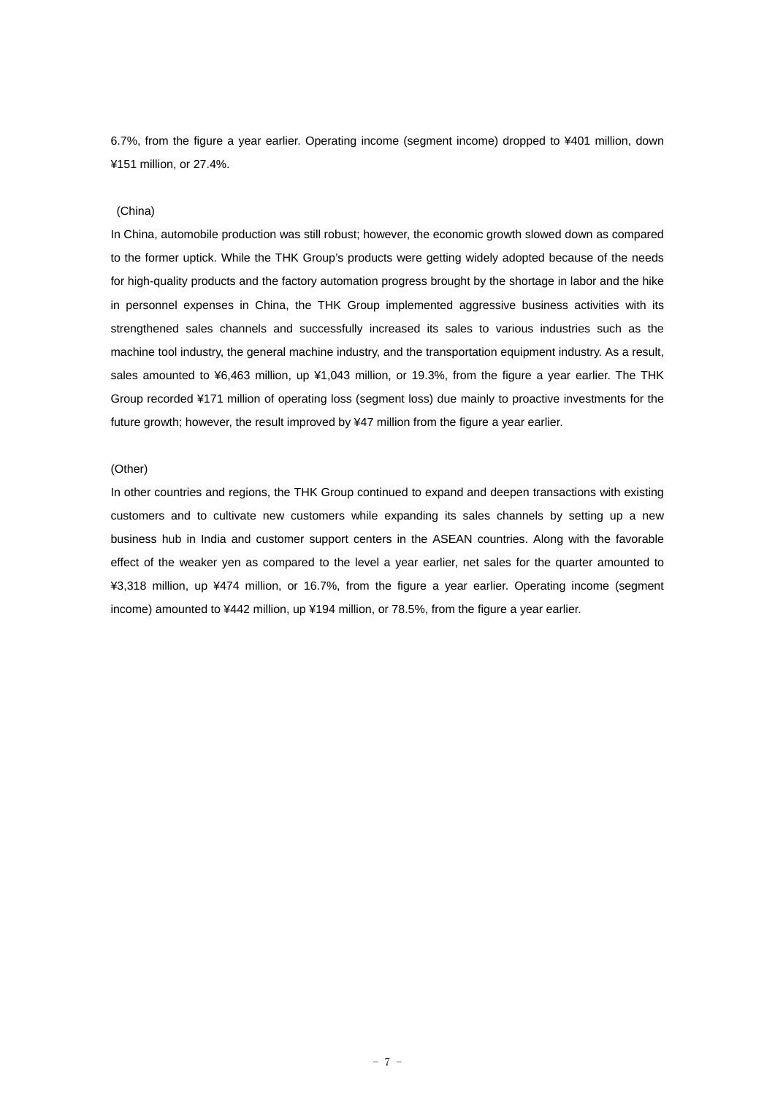6.7%, from the figure a year earlier. Operating income (segment income) dropped to ¥401 million, down ¥151 million, or 27.4%.

#### (China)

In China, automobile production was still robust; however, the economic growth slowed down as compared to the former uptick. While the THK Group's products were getting widely adopted because of the needs for high-quality products and the factory automation progress brought by the shortage in labor and the hike in personnel expenses in China, the THK Group implemented aggressive business activities with its strengthened sales channels and successfully increased its sales to various industries such as the machine tool industry, the general machine industry, and the transportation equipment industry. As a result, sales amounted to ¥6,463 million, up ¥1,043 million, or 19.3%, from the figure a year earlier. The THK Group recorded ¥171 million of operating loss (segment loss) due mainly to proactive investments for the future growth; however, the result improved by ¥47 million from the figure a year earlier.

#### (Other)

In other countries and regions, the THK Group continued to expand and deepen transactions with existing customers and to cultivate new customers while expanding its sales channels by setting up a new business hub in India and customer support centers in the ASEAN countries. Along with the favorable effect of the weaker yen as compared to the level a year earlier, net sales for the quarter amounted to ¥3,318 million, up ¥474 million, or 16.7%, from the figure a year earlier. Operating income (segment income) amounted to ¥442 million, up ¥194 million, or 78.5%, from the figure a year earlier.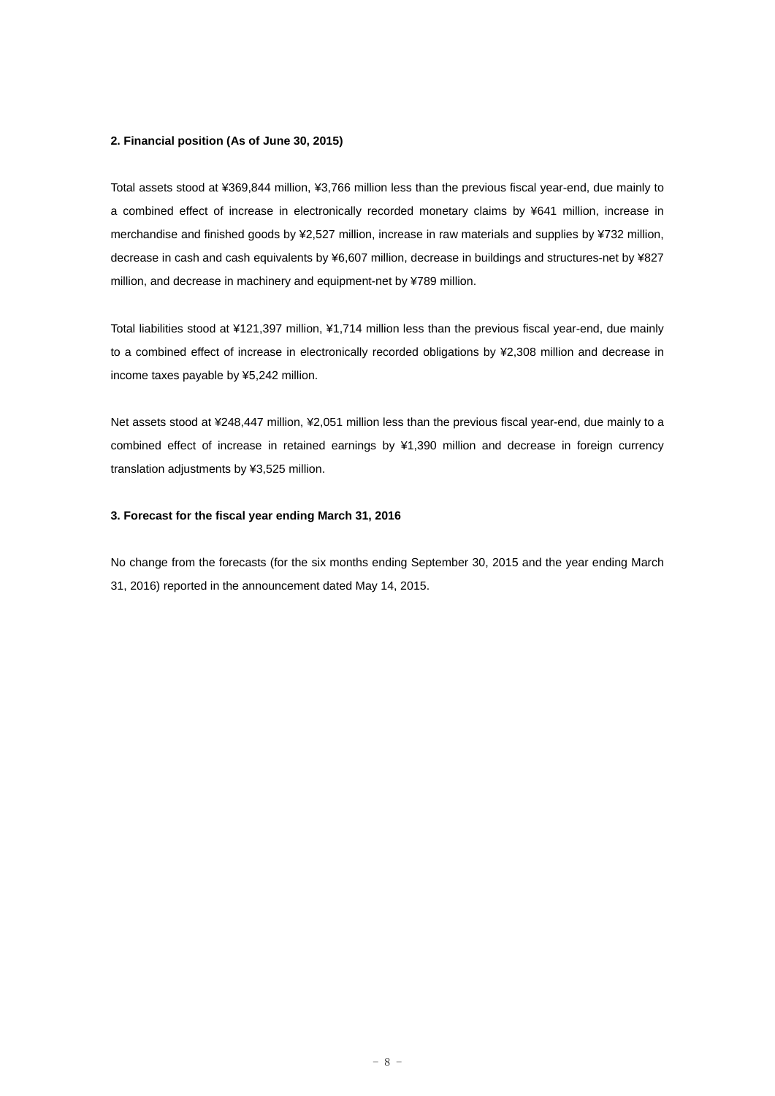#### **2. Financial position (As of June 30, 2015)**

Total assets stood at ¥369,844 million, ¥3,766 million less than the previous fiscal year-end, due mainly to a combined effect of increase in electronically recorded monetary claims by ¥641 million, increase in merchandise and finished goods by ¥2,527 million, increase in raw materials and supplies by ¥732 million, decrease in cash and cash equivalents by ¥6,607 million, decrease in buildings and structures-net by ¥827 million, and decrease in machinery and equipment-net by ¥789 million.

Total liabilities stood at ¥121,397 million, ¥1,714 million less than the previous fiscal year-end, due mainly to a combined effect of increase in electronically recorded obligations by ¥2,308 million and decrease in income taxes payable by ¥5,242 million.

Net assets stood at ¥248,447 million, ¥2,051 million less than the previous fiscal year-end, due mainly to a combined effect of increase in retained earnings by ¥1,390 million and decrease in foreign currency translation adjustments by ¥3,525 million.

### **3. Forecast for the fiscal year ending March 31, 2016**

No change from the forecasts (for the six months ending September 30, 2015 and the year ending March 31, 2016) reported in the announcement dated May 14, 2015.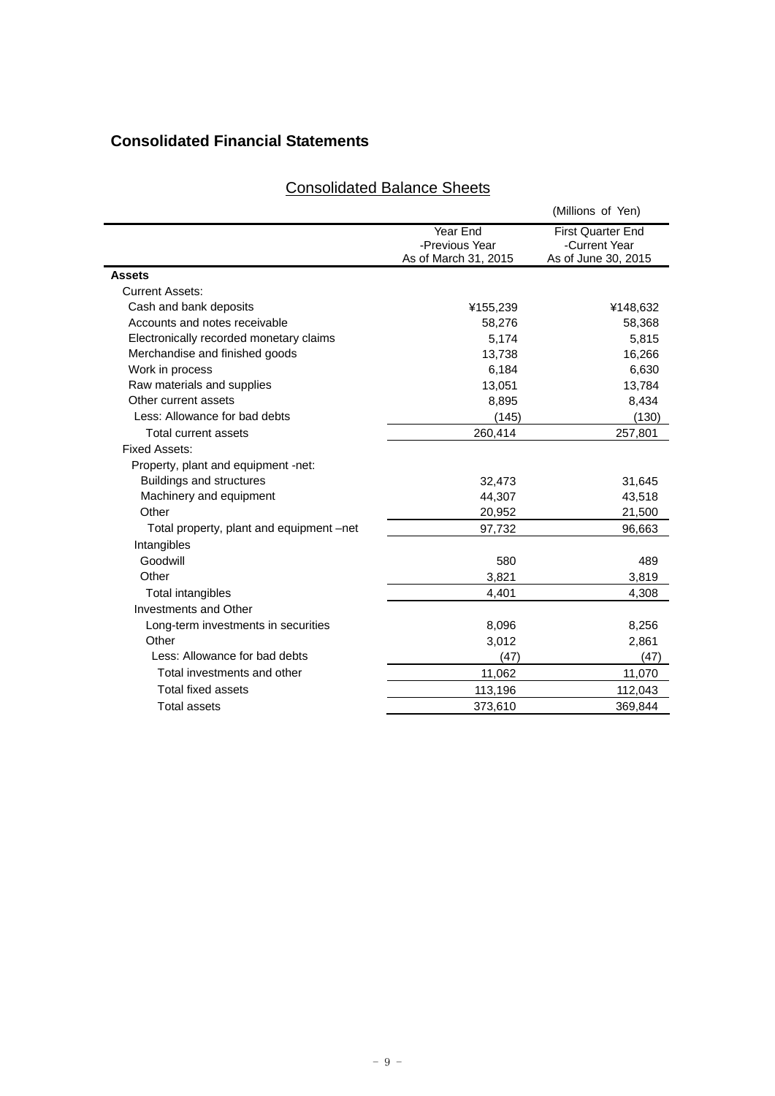# **Consolidated Financial Statements**

# Consolidated Balance Sheets

|                                          |                                                    | (Millions of Yen)                                                |
|------------------------------------------|----------------------------------------------------|------------------------------------------------------------------|
|                                          | Year End<br>-Previous Year<br>As of March 31, 2015 | <b>First Quarter End</b><br>-Current Year<br>As of June 30, 2015 |
| <b>Assets</b>                            |                                                    |                                                                  |
| <b>Current Assets:</b>                   |                                                    |                                                                  |
| Cash and bank deposits                   | ¥155,239                                           | ¥148,632                                                         |
| Accounts and notes receivable            | 58,276                                             | 58,368                                                           |
| Electronically recorded monetary claims  | 5,174                                              | 5,815                                                            |
| Merchandise and finished goods           | 13,738                                             | 16,266                                                           |
| Work in process                          | 6,184                                              | 6,630                                                            |
| Raw materials and supplies               | 13,051                                             | 13,784                                                           |
| Other current assets                     | 8,895                                              | 8,434                                                            |
| Less: Allowance for bad debts            | (145)                                              | (130)                                                            |
| <b>Total current assets</b>              | 260,414                                            | 257,801                                                          |
| <b>Fixed Assets:</b>                     |                                                    |                                                                  |
| Property, plant and equipment -net:      |                                                    |                                                                  |
| <b>Buildings and structures</b>          | 32,473                                             | 31,645                                                           |
| Machinery and equipment                  | 44,307                                             | 43,518                                                           |
| Other                                    | 20,952                                             | 21,500                                                           |
| Total property, plant and equipment -net | 97,732                                             | 96,663                                                           |
| Intangibles                              |                                                    |                                                                  |
| Goodwill                                 | 580                                                | 489                                                              |
| Other                                    | 3,821                                              | 3,819                                                            |
| Total intangibles                        | 4,401                                              | 4,308                                                            |
| Investments and Other                    |                                                    |                                                                  |
| Long-term investments in securities      | 8,096                                              | 8,256                                                            |
| Other                                    | 3,012                                              | 2,861                                                            |
| Less: Allowance for bad debts            | (47)                                               | (47)                                                             |
| Total investments and other              | 11,062                                             | 11,070                                                           |
| <b>Total fixed assets</b>                | 113,196                                            | 112,043                                                          |
| <b>Total assets</b>                      | 373,610                                            | 369.844                                                          |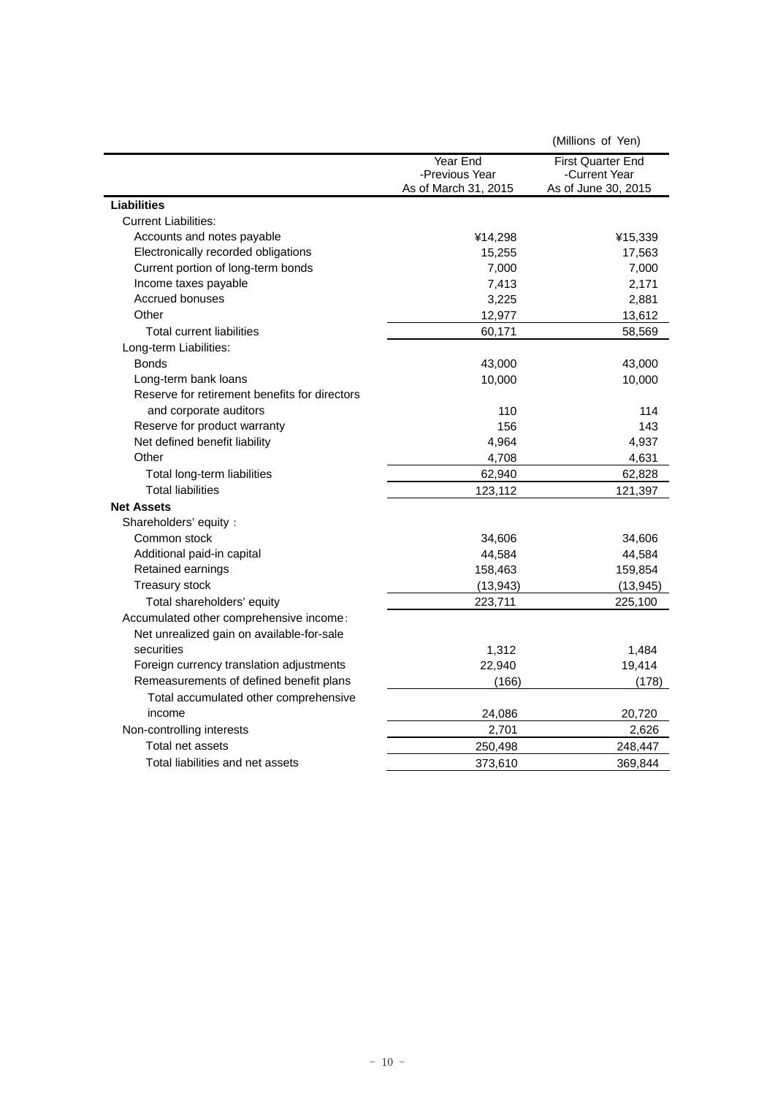| Year End<br><b>First Quarter End</b><br>-Previous Year<br>-Current Year<br>As of June 30, 2015<br>As of March 31, 2015<br><b>Liabilities</b><br><b>Current Liabilities:</b><br>Accounts and notes payable<br>¥14,298<br>¥15,339<br>Electronically recorded obligations<br>17,563<br>15,255<br>Current portion of long-term bonds<br>7,000<br>7,000<br>Income taxes payable<br>7,413<br>2,171<br>Accrued bonuses<br>3,225<br>2,881<br>Other<br>12,977<br>13,612<br>Total current liabilities<br>60,171<br>58,569<br>Long-term Liabilities:<br><b>Bonds</b><br>43,000<br>43,000<br>Long-term bank loans<br>10,000<br>10,000<br>Reserve for retirement benefits for directors<br>and corporate auditors<br>110<br>114<br>Reserve for product warranty<br>156<br>143<br>Net defined benefit liability<br>4,964<br>4,937<br>Other<br>4,708<br>4,631 |                             |        | (Millions of Yen) |
|------------------------------------------------------------------------------------------------------------------------------------------------------------------------------------------------------------------------------------------------------------------------------------------------------------------------------------------------------------------------------------------------------------------------------------------------------------------------------------------------------------------------------------------------------------------------------------------------------------------------------------------------------------------------------------------------------------------------------------------------------------------------------------------------------------------------------------------------|-----------------------------|--------|-------------------|
|                                                                                                                                                                                                                                                                                                                                                                                                                                                                                                                                                                                                                                                                                                                                                                                                                                                |                             |        |                   |
|                                                                                                                                                                                                                                                                                                                                                                                                                                                                                                                                                                                                                                                                                                                                                                                                                                                |                             |        |                   |
|                                                                                                                                                                                                                                                                                                                                                                                                                                                                                                                                                                                                                                                                                                                                                                                                                                                |                             |        |                   |
|                                                                                                                                                                                                                                                                                                                                                                                                                                                                                                                                                                                                                                                                                                                                                                                                                                                |                             |        |                   |
|                                                                                                                                                                                                                                                                                                                                                                                                                                                                                                                                                                                                                                                                                                                                                                                                                                                |                             |        |                   |
|                                                                                                                                                                                                                                                                                                                                                                                                                                                                                                                                                                                                                                                                                                                                                                                                                                                |                             |        |                   |
|                                                                                                                                                                                                                                                                                                                                                                                                                                                                                                                                                                                                                                                                                                                                                                                                                                                |                             |        |                   |
|                                                                                                                                                                                                                                                                                                                                                                                                                                                                                                                                                                                                                                                                                                                                                                                                                                                |                             |        |                   |
|                                                                                                                                                                                                                                                                                                                                                                                                                                                                                                                                                                                                                                                                                                                                                                                                                                                |                             |        |                   |
|                                                                                                                                                                                                                                                                                                                                                                                                                                                                                                                                                                                                                                                                                                                                                                                                                                                |                             |        |                   |
|                                                                                                                                                                                                                                                                                                                                                                                                                                                                                                                                                                                                                                                                                                                                                                                                                                                |                             |        |                   |
|                                                                                                                                                                                                                                                                                                                                                                                                                                                                                                                                                                                                                                                                                                                                                                                                                                                |                             |        |                   |
|                                                                                                                                                                                                                                                                                                                                                                                                                                                                                                                                                                                                                                                                                                                                                                                                                                                |                             |        |                   |
|                                                                                                                                                                                                                                                                                                                                                                                                                                                                                                                                                                                                                                                                                                                                                                                                                                                |                             |        |                   |
|                                                                                                                                                                                                                                                                                                                                                                                                                                                                                                                                                                                                                                                                                                                                                                                                                                                |                             |        |                   |
|                                                                                                                                                                                                                                                                                                                                                                                                                                                                                                                                                                                                                                                                                                                                                                                                                                                |                             |        |                   |
|                                                                                                                                                                                                                                                                                                                                                                                                                                                                                                                                                                                                                                                                                                                                                                                                                                                |                             |        |                   |
|                                                                                                                                                                                                                                                                                                                                                                                                                                                                                                                                                                                                                                                                                                                                                                                                                                                |                             |        |                   |
|                                                                                                                                                                                                                                                                                                                                                                                                                                                                                                                                                                                                                                                                                                                                                                                                                                                |                             |        |                   |
|                                                                                                                                                                                                                                                                                                                                                                                                                                                                                                                                                                                                                                                                                                                                                                                                                                                | Total long-term liabilities | 62,940 | 62,828            |
| <b>Total liabilities</b><br>123,112<br>121,397                                                                                                                                                                                                                                                                                                                                                                                                                                                                                                                                                                                                                                                                                                                                                                                                 |                             |        |                   |
| <b>Net Assets</b>                                                                                                                                                                                                                                                                                                                                                                                                                                                                                                                                                                                                                                                                                                                                                                                                                              |                             |        |                   |
| Shareholders' equity:                                                                                                                                                                                                                                                                                                                                                                                                                                                                                                                                                                                                                                                                                                                                                                                                                          |                             |        |                   |
| Common stock<br>34,606<br>34,606                                                                                                                                                                                                                                                                                                                                                                                                                                                                                                                                                                                                                                                                                                                                                                                                               |                             |        |                   |
| Additional paid-in capital<br>44,584<br>44,584                                                                                                                                                                                                                                                                                                                                                                                                                                                                                                                                                                                                                                                                                                                                                                                                 |                             |        |                   |
| Retained earnings<br>158,463<br>159,854                                                                                                                                                                                                                                                                                                                                                                                                                                                                                                                                                                                                                                                                                                                                                                                                        |                             |        |                   |
| Treasury stock<br>(13, 943)<br>(13, 945)                                                                                                                                                                                                                                                                                                                                                                                                                                                                                                                                                                                                                                                                                                                                                                                                       |                             |        |                   |
| Total shareholders' equity<br>223,711<br>225,100                                                                                                                                                                                                                                                                                                                                                                                                                                                                                                                                                                                                                                                                                                                                                                                               |                             |        |                   |
| Accumulated other comprehensive income:                                                                                                                                                                                                                                                                                                                                                                                                                                                                                                                                                                                                                                                                                                                                                                                                        |                             |        |                   |
| Net unrealized gain on available-for-sale                                                                                                                                                                                                                                                                                                                                                                                                                                                                                                                                                                                                                                                                                                                                                                                                      |                             |        |                   |
| securities<br>1,312<br>1,484                                                                                                                                                                                                                                                                                                                                                                                                                                                                                                                                                                                                                                                                                                                                                                                                                   |                             |        |                   |
| Foreign currency translation adjustments<br>19,414<br>22,940                                                                                                                                                                                                                                                                                                                                                                                                                                                                                                                                                                                                                                                                                                                                                                                   |                             |        |                   |
| Remeasurements of defined benefit plans<br>(166)<br>(178)                                                                                                                                                                                                                                                                                                                                                                                                                                                                                                                                                                                                                                                                                                                                                                                      |                             |        |                   |
| Total accumulated other comprehensive                                                                                                                                                                                                                                                                                                                                                                                                                                                                                                                                                                                                                                                                                                                                                                                                          |                             |        |                   |
| income<br>24,086<br>20,720                                                                                                                                                                                                                                                                                                                                                                                                                                                                                                                                                                                                                                                                                                                                                                                                                     |                             |        |                   |
| Non-controlling interests<br>2,701<br>2,626                                                                                                                                                                                                                                                                                                                                                                                                                                                                                                                                                                                                                                                                                                                                                                                                    |                             |        |                   |
| Total net assets<br>250,498<br>248,447                                                                                                                                                                                                                                                                                                                                                                                                                                                                                                                                                                                                                                                                                                                                                                                                         |                             |        |                   |
| Total liabilities and net assets<br>373,610<br>369,844                                                                                                                                                                                                                                                                                                                                                                                                                                                                                                                                                                                                                                                                                                                                                                                         |                             |        |                   |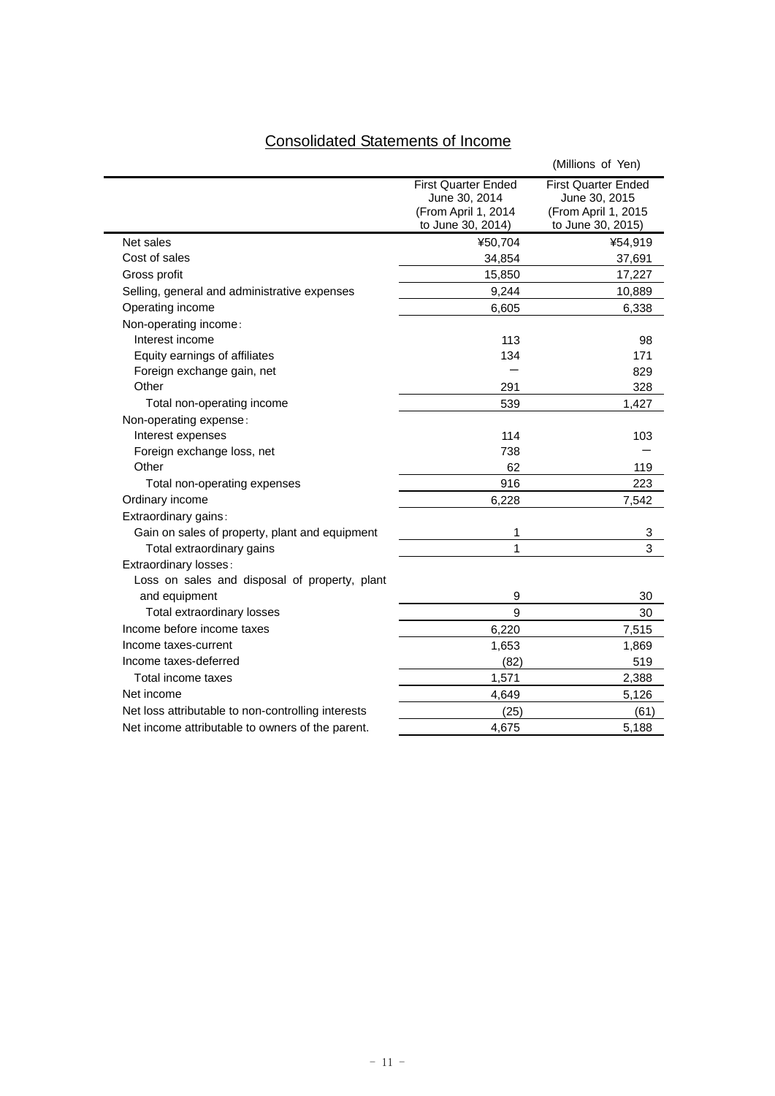# Consolidated Statements of Income

|                                                    |                                                                                         | (Millions of Yen)                                                                       |
|----------------------------------------------------|-----------------------------------------------------------------------------------------|-----------------------------------------------------------------------------------------|
|                                                    | <b>First Quarter Ended</b><br>June 30, 2014<br>(From April 1, 2014<br>to June 30, 2014) | <b>First Quarter Ended</b><br>June 30, 2015<br>(From April 1, 2015<br>to June 30, 2015) |
| Net sales                                          | ¥50,704                                                                                 | ¥54,919                                                                                 |
| Cost of sales                                      | 34,854                                                                                  | 37,691                                                                                  |
| Gross profit                                       | 15,850                                                                                  | 17,227                                                                                  |
| Selling, general and administrative expenses       | 9,244                                                                                   | 10,889                                                                                  |
| Operating income                                   | 6,605                                                                                   | 6,338                                                                                   |
| Non-operating income:                              |                                                                                         |                                                                                         |
| Interest income                                    | 113                                                                                     | 98                                                                                      |
| Equity earnings of affiliates                      | 134                                                                                     | 171                                                                                     |
| Foreign exchange gain, net                         |                                                                                         | 829                                                                                     |
| Other                                              | 291                                                                                     | 328                                                                                     |
| Total non-operating income                         | 539                                                                                     | 1,427                                                                                   |
| Non-operating expense:                             |                                                                                         |                                                                                         |
| Interest expenses                                  | 114                                                                                     | 103                                                                                     |
| Foreign exchange loss, net                         | 738                                                                                     |                                                                                         |
| Other                                              | 62                                                                                      | 119                                                                                     |
| Total non-operating expenses                       | 916                                                                                     | 223                                                                                     |
| Ordinary income                                    | 6.228                                                                                   | 7.542                                                                                   |
| Extraordinary gains:                               |                                                                                         |                                                                                         |
| Gain on sales of property, plant and equipment     | 1                                                                                       | 3                                                                                       |
| Total extraordinary gains                          | 1                                                                                       | 3                                                                                       |
| Extraordinary losses:                              |                                                                                         |                                                                                         |
| Loss on sales and disposal of property, plant      |                                                                                         |                                                                                         |
| and equipment                                      | 9                                                                                       | 30                                                                                      |
| Total extraordinary losses                         | 9                                                                                       | 30                                                                                      |
| Income before income taxes                         | 6,220                                                                                   | 7,515                                                                                   |
| Income taxes-current                               | 1,653                                                                                   | 1,869                                                                                   |
| Income taxes-deferred                              | (82)                                                                                    | 519                                                                                     |
| Total income taxes                                 | 1,571                                                                                   | 2,388                                                                                   |
| Net income                                         | 4,649                                                                                   | 5,126                                                                                   |
| Net loss attributable to non-controlling interests | (25)                                                                                    | (61)                                                                                    |
| Net income attributable to owners of the parent.   | 4,675                                                                                   | 5,188                                                                                   |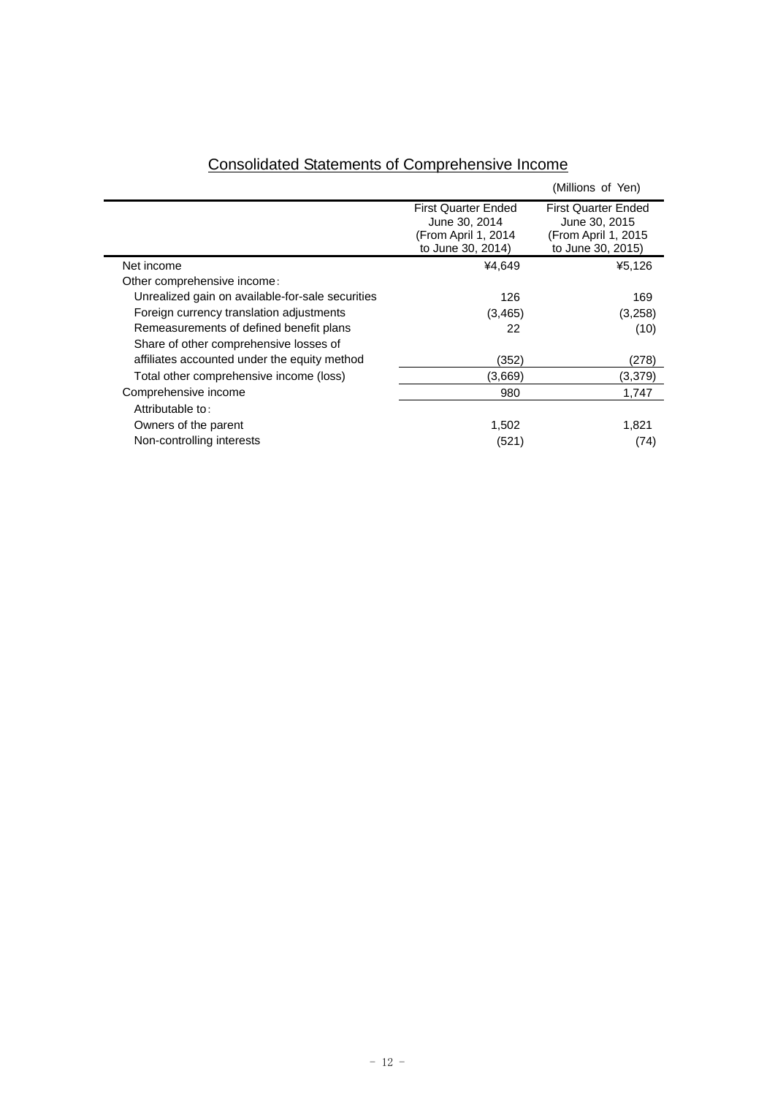|                                                  |                                                                                         | (Millions of Yen)                                                                       |
|--------------------------------------------------|-----------------------------------------------------------------------------------------|-----------------------------------------------------------------------------------------|
|                                                  | <b>First Quarter Ended</b><br>June 30, 2014<br>(From April 1, 2014<br>to June 30, 2014) | <b>First Quarter Ended</b><br>June 30, 2015<br>(From April 1, 2015<br>to June 30, 2015) |
| Net income                                       | ¥4.649                                                                                  | ¥5.126                                                                                  |
| Other comprehensive income:                      |                                                                                         |                                                                                         |
| Unrealized gain on available-for-sale securities | 126                                                                                     | 169                                                                                     |
| Foreign currency translation adjustments         | (3,465)                                                                                 | (3,258)                                                                                 |
| Remeasurements of defined benefit plans          | 22                                                                                      | (10)                                                                                    |
| Share of other comprehensive losses of           |                                                                                         |                                                                                         |
| affiliates accounted under the equity method     | (352)                                                                                   | (278)                                                                                   |
| Total other comprehensive income (loss)          | (3.669)                                                                                 | (3,379)                                                                                 |
| Comprehensive income                             | 980                                                                                     | 1,747                                                                                   |
| Attributable to:                                 |                                                                                         |                                                                                         |
| Owners of the parent                             | 1,502                                                                                   | 1,821                                                                                   |
| Non-controlling interests                        | (521)                                                                                   | (74)                                                                                    |
|                                                  |                                                                                         |                                                                                         |

# Consolidated Statements of Comprehensive Income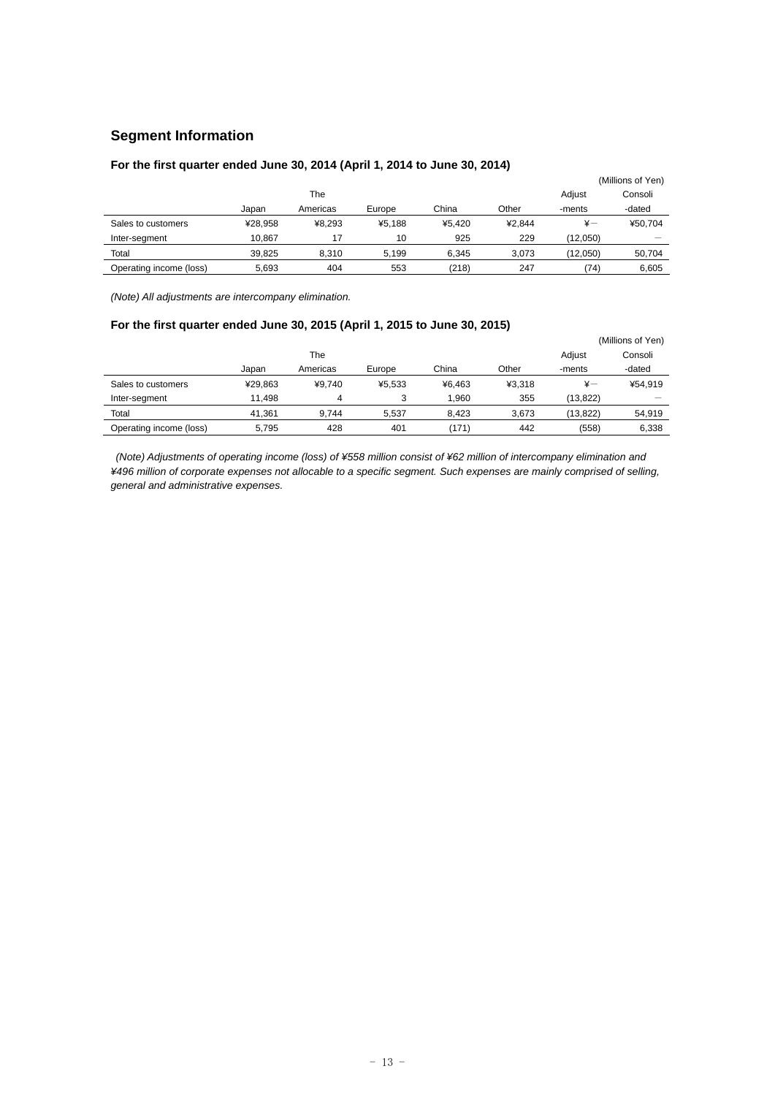# **Segment Information**

## **For the first quarter ended June 30, 2014 (April 1, 2014 to June 30, 2014)**

|                         |         |          |        |        |        |          | (Millions of Yen) |
|-------------------------|---------|----------|--------|--------|--------|----------|-------------------|
|                         |         | The      |        |        |        | Adjust   | Consoli           |
|                         | Japan   | Americas | Europe | China  | Other  | -ments   | -dated            |
| Sales to customers      | ¥28.958 | ¥8.293   | ¥5.188 | ¥5.420 | ¥2.844 | ¥-       | ¥50.704           |
| Inter-segment           | 10.867  | 17       | 10     | 925    | 229    | (12.050) |                   |
| Total                   | 39.825  | 8.310    | 5.199  | 6.345  | 3.073  | (12,050) | 50.704            |
| Operating income (loss) | 5.693   | 404      | 553    | (218)  | 247    | (74)     | 6.605             |

*(Note) All adjustments are intercompany elimination.* 

# **For the first quarter ended June 30, 2015 (April 1, 2015 to June 30, 2015)**

|                         |         |          |        |        |        |               | (Millions of Yen) |
|-------------------------|---------|----------|--------|--------|--------|---------------|-------------------|
|                         |         | The      |        |        |        | Adjust        | Consoli           |
|                         | Japan   | Americas | Europe | China  | Other  | -ments        | -dated            |
| Sales to customers      | ¥29.863 | ¥9.740   | ¥5.533 | ¥6.463 | ¥3.318 | $\frac{1}{2}$ | ¥54.919           |
| Inter-segment           | 11.498  | 4        | 3      | 1.960  | 355    | (13.822)      |                   |
| Total                   | 41.361  | 9.744    | 5.537  | 8.423  | 3.673  | (13, 822)     | 54,919            |
| Operating income (loss) | 5.795   | 428      | 401    | (171)  | 442    | (558)         | 6,338             |

 *(Note) Adjustments of operating income (loss) of ¥558 million consist of ¥62 million of intercompany elimination and ¥496 million of corporate expenses not allocable to a specific segment. Such expenses are mainly comprised of selling, general and administrative expenses.*